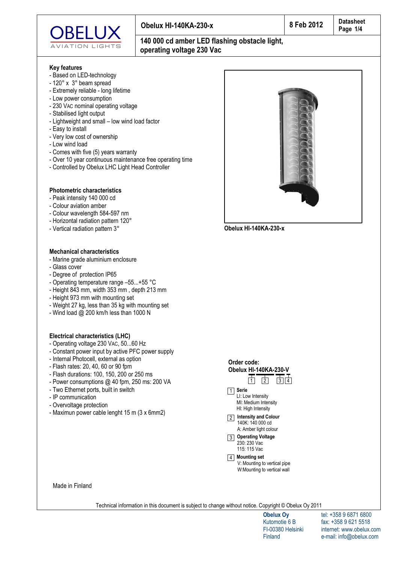

# **140 000 cd amber LED flashing obstacle light, operating voltage 230 Vac**

#### **Kev features**

- Based on LED-technology
- $-120^\circ$  x  $3^\circ$  beam spread
- Extremely reliable long lifetime
- Low power consumption
- 230 VAC nominal operating voltage
- Stabilised light output
- Lightweight and small low wind load factor
- Easy to install
- Very low cost of ownership
- Low wind load
- Comes with five (5) years warranty
- Over 10 year continuous maintenance free operating time
- Controlled by Obelux LHC Light Head Controller

### **Photometric characteristics**

- Peak intensity 140 000 cd
- Colour aviation amber
- Colour wavelength 584-597 nm
- Horizontal radiation pattern 120°
- Vertical radiation pattern 3°

### **Mechanical characteristics**

- Marine grade aluminium enclosure
- Glass cover
- Degree of protection IP65
- Operating temperature range  $-55...+55$  °C
- Height 843 mm, width  $353$  mm, depth  $213$  mm
- Height 973 mm with mounting set
- Weight 27 kg, less than 35 kg with mounting set
- Wind load  $@$  200 km/h less than 1000 N

### **Electrical characteristics (LHC)**

- Operating voltage 230 VAC, 50...60 Hz
- Constant power input by active PFC power supply
- Internal Photocell, external as option
- Flash rates: 20, 40, 60 or 90 fpm
- Flash durations: 100, 150, 200 or 250 ms
- Power consumptions  $@$  40 fpm, 250 ms: 200 VA
- Two Ethernet ports, built in switch
- IP communication
- Overvoltage protection
- Maximun power cable lenght 15 m (3 x 6mm2)



4 Mounting set V: Mounting to vertical pipe W: Mounting to vertical wall

Made in Finland

Technical information in this document is subject to change without notice. Copyright © Obelux Oy 2011

**Obelux Oy** Kutomotie 6 B FI-00380 Helsinki **Finland** 

tel: +358 9 6871 6800 fax: +358 9 621 5518 internet: www.obelux.com e-mail: info@obelux.com



**O b e l u x H I - 1 4 0 K A - 2 3 0 - x**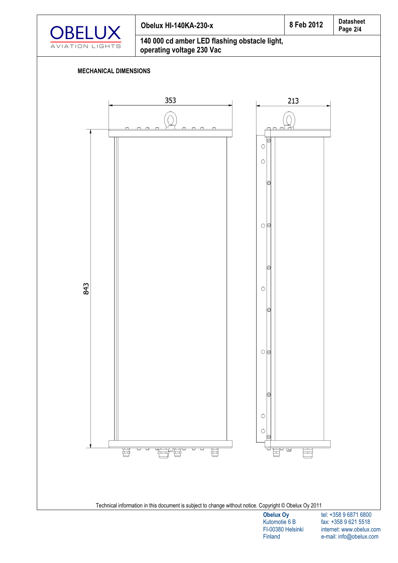

## 8 Feb 2012 Obelux HI-140KA-230-x 140 000 cd amber LED flashing obstacle light,

operating voltage 230 Vac

## **MECHANICAL DIMENSIONS**



tel: +358 9 6871 6800 fax: +358 9 621 5518 internet: www.obelux.com e-mail: info@obelux.com

Finland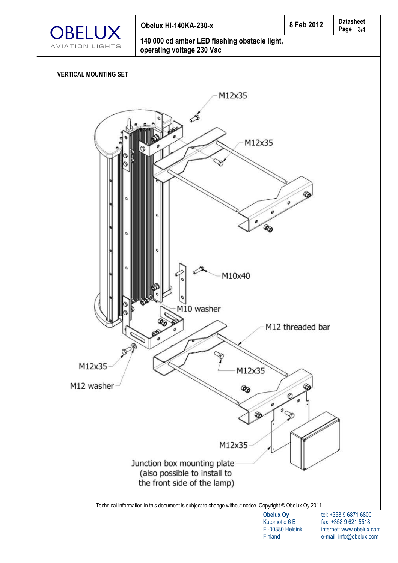